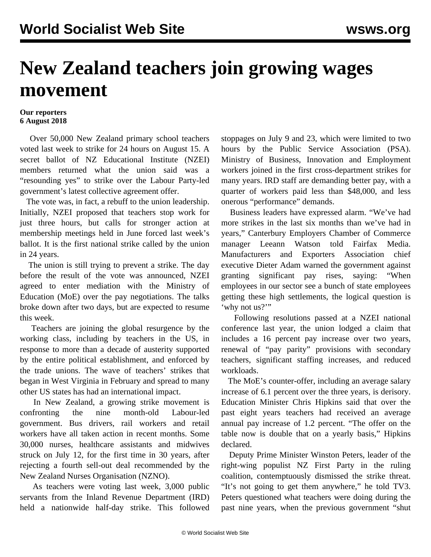## **New Zealand teachers join growing wages movement**

## **Our reporters 6 August 2018**

 Over 50,000 New Zealand primary school teachers voted last week to strike for 24 hours on August 15. A secret ballot of NZ Educational Institute (NZEI) members returned what the union said was a "resounding yes" to strike over the Labour Party-led government's latest collective agreement offer.

 The vote was, in fact, a rebuff to the union leadership. Initially, NZEI proposed that teachers stop work for just three hours, but calls for stronger action at membership meetings held in June forced last week's ballot. It is the first national strike called by the union in 24 years.

 The union is still trying to prevent a strike. The day before the result of the vote was announced, NZEI agreed to enter mediation with the Ministry of Education (MoE) over the pay negotiations. The talks broke down after two days, but are expected to resume this week.

 Teachers are joining the global resurgence by the working class, including by teachers in the US, in response to more than a decade of austerity supported by the entire political establishment, and enforced by the trade unions. The wave of teachers' strikes that began in West Virginia in February and spread to many other US states has had an international impact.

 In New Zealand, a growing strike movement is confronting the nine month-old Labour-led government. Bus drivers, rail workers and retail workers have all taken action in recent months. Some 30,000 nurses, healthcare assistants and midwives struck on July 12, for the first time in 30 years, after rejecting a fourth sell-out deal recommended by the New Zealand Nurses Organisation (NZNO).

 As teachers were voting last week, 3,000 public servants from the Inland Revenue Department (IRD) held a nationwide half-day strike. This followed stoppages on July 9 and 23, which were limited to two hours by the Public Service Association (PSA). Ministry of Business, Innovation and Employment workers joined in the first cross-department strikes for many years. IRD staff are demanding better pay, with a quarter of workers paid less than \$48,000, and less onerous "performance" demands.

 Business leaders have expressed alarm. "We've had more strikes in the last six months than we've had in years," Canterbury Employers Chamber of Commerce manager Leeann Watson told Fairfax Media. Manufacturers and Exporters Association chief executive Dieter Adam warned the government against granting significant pay rises, saying: "When employees in our sector see a bunch of state employees getting these high settlements, the logical question is 'why not us?"

 Following resolutions passed at a NZEI national conference last year, the union lodged a claim that includes a 16 percent pay increase over two years, renewal of "pay parity" provisions with secondary teachers, significant staffing increases, and reduced workloads.

 The MoE's counter-offer, including an average salary increase of 6.1 percent over the three years, is derisory. Education Minister Chris Hipkins said that over the past eight years teachers had received an average annual pay increase of 1.2 percent. "The offer on the table now is double that on a yearly basis," Hipkins declared.

 Deputy Prime Minister Winston Peters, leader of the right-wing populist NZ First Party in the ruling coalition, contemptuously dismissed the strike threat. "It's not going to get them anywhere," he told TV3. Peters questioned what teachers were doing during the past nine years, when the previous government "shut